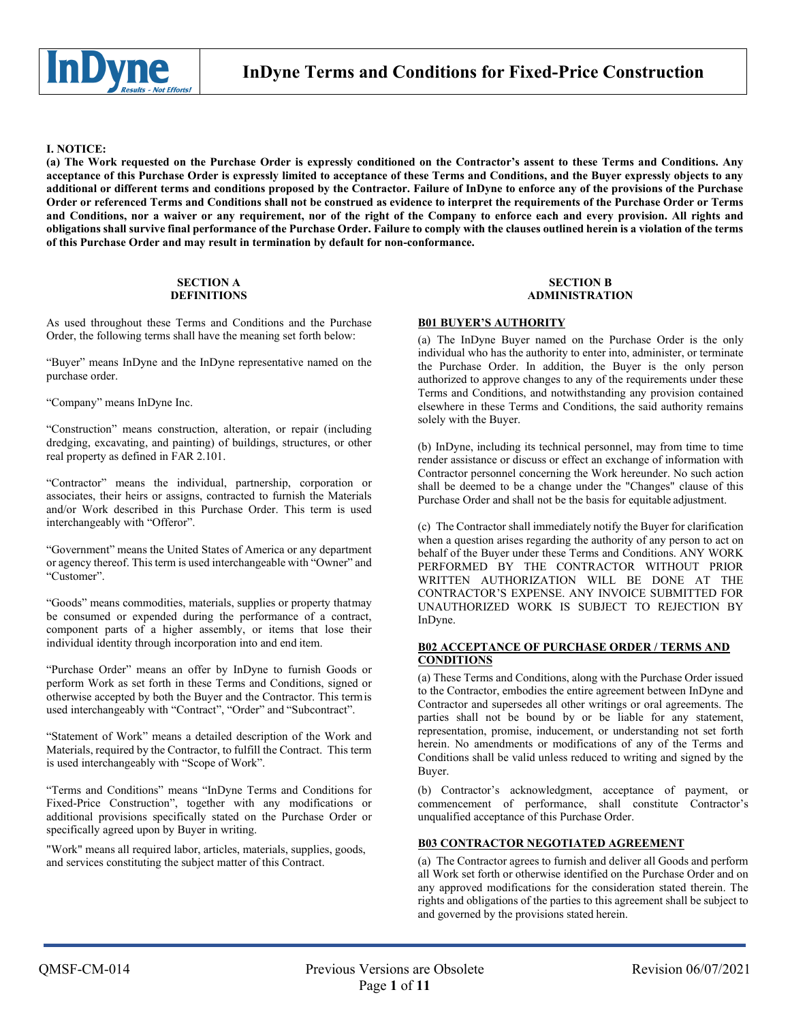

## **I. NOTICE:**

**(a) The Work requested on the Purchase Order is expressly conditioned on the Contractor's assent to these Terms and Conditions. Any acceptance of this Purchase Order is expressly limited to acceptance of these Terms and Conditions, and the Buyer expressly objects to any additional or different terms and conditions proposed by the Contractor. Failure of InDyne to enforce any of the provisions of the Purchase Order or referenced Terms and Conditions shall not be construed as evidence to interpret the requirements of the Purchase Order or Terms and Conditions, nor a waiver or any requirement, nor of the right of the Company to enforce each and every provision. All rights and obligations shall survive final performance of the Purchase Order. Failure to comply with the clauses outlined herein is a violation of the terms of this Purchase Order and may result in termination by default for non-conformance.**

#### **SECTION A DEFINITIONS**

As used throughout these Terms and Conditions and the Purchase Order, the following terms shall have the meaning set forth below:

"Buyer" means InDyne and the InDyne representative named on the purchase order.

"Company" means InDyne Inc.

"Construction" means construction, alteration, or repair (including dredging, excavating, and painting) of buildings, structures, or other real property as defined in FAR 2.101.

"Contractor" means the individual, partnership, corporation or associates, their heirs or assigns, contracted to furnish the Materials and/or Work described in this Purchase Order. This term is used interchangeably with "Offeror".

"Government" means the United States of America or any department or agency thereof. This term is used interchangeable with "Owner" and "Customer".

"Goods" means commodities, materials, supplies or property thatmay be consumed or expended during the performance of a contract, component parts of a higher assembly, or items that lose their individual identity through incorporation into and end item.

"Purchase Order" means an offer by InDyne to furnish Goods or perform Work as set forth in these Terms and Conditions, signed or otherwise accepted by both the Buyer and the Contractor. This termis used interchangeably with "Contract", "Order" and "Subcontract".

"Statement of Work" means a detailed description of the Work and Materials, required by the Contractor, to fulfill the Contract. This term is used interchangeably with "Scope of Work".

"Terms and Conditions" means "InDyne Terms and Conditions for Fixed-Price Construction", together with any modifications or additional provisions specifically stated on the Purchase Order or specifically agreed upon by Buyer in writing.

"Work" means all required labor, articles, materials, supplies, goods, and services constituting the subject matter of this Contract.

#### **SECTION B ADMINISTRATION**

### **B01 BUYER'S AUTHORITY**

(a) The InDyne Buyer named on the Purchase Order is the only individual who has the authority to enter into, administer, or terminate the Purchase Order. In addition, the Buyer is the only person authorized to approve changes to any of the requirements under these Terms and Conditions, and notwithstanding any provision contained elsewhere in these Terms and Conditions, the said authority remains solely with the Buyer.

(b) InDyne, including its technical personnel, may from time to time render assistance or discuss or effect an exchange of information with Contractor personnel concerning the Work hereunder. No such action shall be deemed to be a change under the "Changes" clause of this Purchase Order and shall not be the basis for equitable adjustment.

(c) The Contractor shall immediately notify the Buyer for clarification when a question arises regarding the authority of any person to act on behalf of the Buyer under these Terms and Conditions. ANY WORK PERFORMED BY THE CONTRACTOR WITHOUT PRIOR WRITTEN AUTHORIZATION WILL BE DONE AT THE CONTRACTOR'S EXPENSE. ANY INVOICE SUBMITTED FOR UNAUTHORIZED WORK IS SUBJECT TO REJECTION BY InDyne.

## **B02 ACCEPTANCE OF PURCHASE ORDER / TERMS AND CONDITIONS**

(a) These Terms and Conditions, along with the Purchase Order issued to the Contractor, embodies the entire agreement between InDyne and Contractor and supersedes all other writings or oral agreements. The parties shall not be bound by or be liable for any statement, representation, promise, inducement, or understanding not set forth herein. No amendments or modifications of any of the Terms and Conditions shall be valid unless reduced to writing and signed by the Buyer.

(b) Contractor's acknowledgment, acceptance of payment, or commencement of performance, shall constitute Contractor's unqualified acceptance of this Purchase Order.

## **B03 CONTRACTOR NEGOTIATED AGREEMENT**

(a) The Contractor agrees to furnish and deliver all Goods and perform all Work set forth or otherwise identified on the Purchase Order and on any approved modifications for the consideration stated therein. The rights and obligations of the parties to this agreement shall be subject to and governed by the provisions stated herein.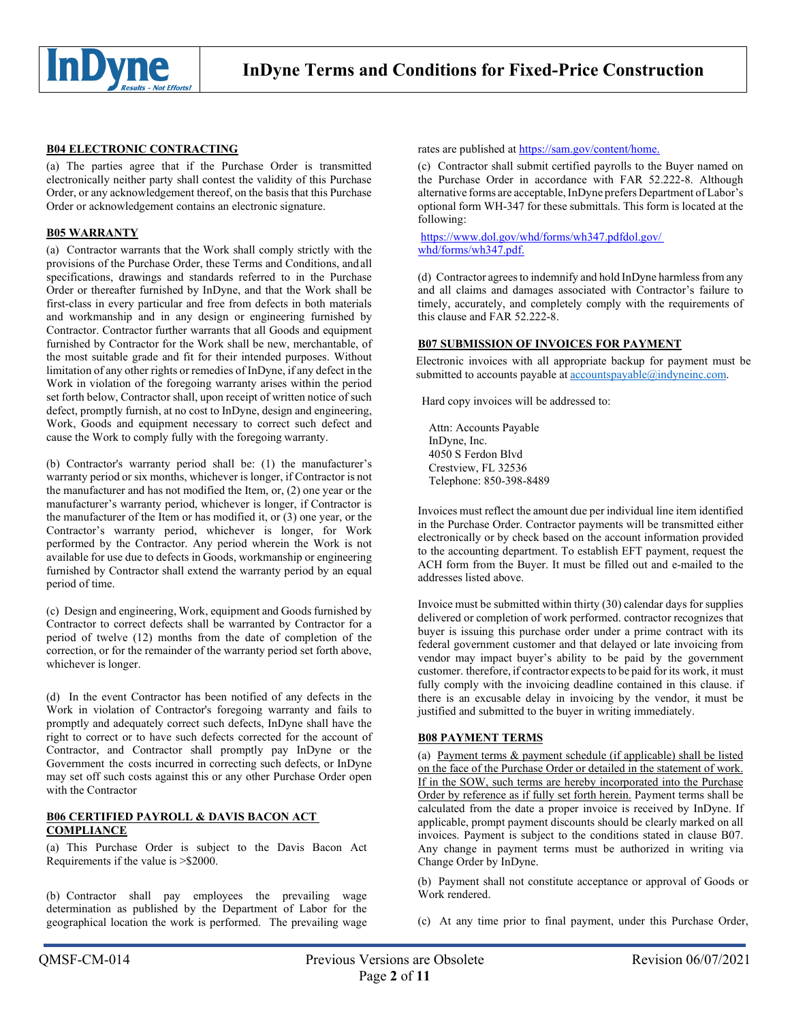

## **B04 ELECTRONIC CONTRACTING**

(a) The parties agree that if the Purchase Order is transmitted electronically neither party shall contest the validity of this Purchase Order, or any acknowledgement thereof, on the basis that this Purchase Order or acknowledgement contains an electronic signature.

## **B05 WARRANTY**

(a) Contractor warrants that the Work shall comply strictly with the provisions of the Purchase Order, these Terms and Conditions, andall specifications, drawings and standards referred to in the Purchase Order or thereafter furnished by InDyne, and that the Work shall be first-class in every particular and free from defects in both materials and workmanship and in any design or engineering furnished by Contractor. Contractor further warrants that all Goods and equipment furnished by Contractor for the Work shall be new, merchantable, of the most suitable grade and fit for their intended purposes. Without limitation of any other rights or remedies of InDyne, if any defect in the Work in violation of the foregoing warranty arises within the period set forth below, Contractor shall, upon receipt of written notice of such defect, promptly furnish, at no cost to InDyne, design and engineering, Work, Goods and equipment necessary to correct such defect and cause the Work to comply fully with the foregoing warranty.

(b) Contractor's warranty period shall be: (1) the manufacturer's warranty period or six months, whichever is longer, if Contractor is not the manufacturer and has not modified the Item, or, (2) one year or the manufacturer's warranty period, whichever is longer, if Contractor is the manufacturer of the Item or has modified it, or (3) one year, or the Contractor's warranty period, whichever is longer, for Work performed by the Contractor. Any period wherein the Work is not available for use due to defects in Goods, workmanship or engineering furnished by Contractor shall extend the warranty period by an equal period of time.

(c) Design and engineering, Work, equipment and Goods furnished by Contractor to correct defects shall be warranted by Contractor for a period of twelve (12) months from the date of completion of the correction, or for the remainder of the warranty period set forth above, whichever is longer.

(d) In the event Contractor has been notified of any defects in the Work in violation of Contractor's foregoing warranty and fails to promptly and adequately correct such defects, InDyne shall have the right to correct or to have such defects corrected for the account of Contractor, and Contractor shall promptly pay InDyne or the Government the costs incurred in correcting such defects, or InDyne may set off such costs against this or any other Purchase Order open with the Contractor

## **B06 CERTIFIED PAYROLL & DAVIS BACON ACT COMPLIANCE**

(a) This Purchase Order is subject to the Davis Bacon Act Requirements if the value is >\$2000.

(b) Contractor shall pay employees the prevailing wage determination as published by the Department of Labor for the geographical location the work is performed. The prevailing wage

#### rates are published at https://sam.gov/content/home.

(c) Contractor shall submit certified payrolls to the Buyer named on the Purchase Order in accordance with FAR 52.222-8. Although alternative forms are acceptable, InDyne prefers Department of Labor's optional form WH-347 for these submittals. This form is located at the following:

[https://www.dol.gov/whd/forms/wh347.pdfdol.gov/](http://www.dol.gov/whd/forms/wh347.pdfdol.gov/) whd/forms/wh347.pdf.

(d) Contractor agrees to indemnify and hold InDyne harmless from any and all claims and damages associated with Contractor's failure to timely, accurately, and completely comply with the requirements of this clause and FAR 52.222-8.

## **B07 SUBMISSION OF INVOICES FOR PAYMENT**

Electronic invoices with all appropriate backup for payment must be submitted to accounts payable at accountspayable@indyneinc.com.

Hard copy invoices will be addressed to:

Attn: Accounts Payable InDyne, Inc. 4050 S Ferdon Blvd Crestview, FL 32536 Telephone: 850-398-8489

Invoices must reflect the amount due per individual line item identified in the Purchase Order. Contractor payments will be transmitted either electronically or by check based on the account information provided to the accounting department. To establish EFT payment, request the ACH form from the Buyer. It must be filled out and e-mailed to the addresses listed above.

Invoice must be submitted within thirty (30) calendar days for supplies delivered or completion of work performed. contractor recognizes that buyer is issuing this purchase order under a prime contract with its federal government customer and that delayed or late invoicing from vendor may impact buyer's ability to be paid by the government customer. therefore, if contractor expects to be paid for its work, it must fully comply with the invoicing deadline contained in this clause. if there is an excusable delay in invoicing by the vendor, it must be justified and submitted to the buyer in writing immediately.

## **B08 PAYMENT TERMS**

(a) Payment terms & payment schedule (if applicable) shall be listed on the face of the Purchase Order or detailed in the statement of work. If in the SOW, such terms are hereby incorporated into the Purchase Order by reference as if fully set forth herein. Payment terms shall be calculated from the date a proper invoice is received by InDyne. If applicable, prompt payment discounts should be clearly marked on all invoices. Payment is subject to the conditions stated in clause B07. Any change in payment terms must be authorized in writing via Change Order by InDyne.

(b) Payment shall not constitute acceptance or approval of Goods or Work rendered.

(c) At any time prior to final payment, under this Purchase Order,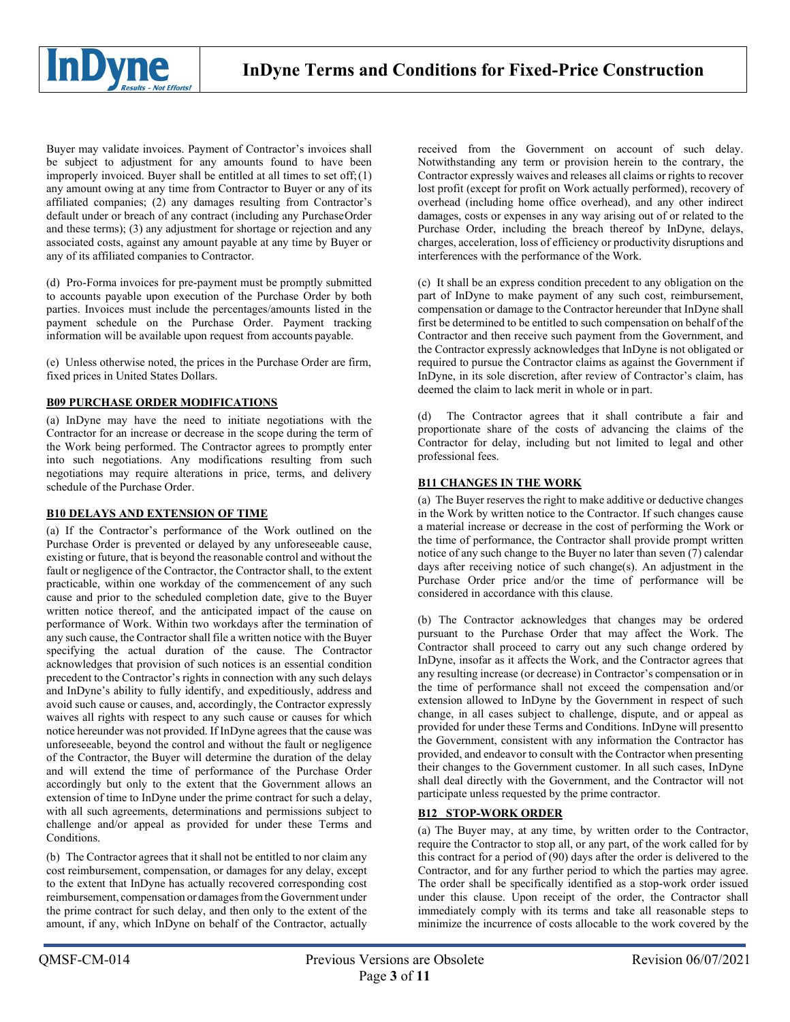

Buyer may validate invoices. Payment of Contractor's invoices shall be subject to adjustment for any amounts found to have been improperly invoiced. Buyer shall be entitled at all times to set off; $(1)$ any amount owing at any time from Contractor to Buyer or any of its affiliated companies; (2) any damages resulting from Contractor's default under or breach of any contract (including any PurchaseOrder and these terms); (3) any adjustment for shortage or rejection and any associated costs, against any amount payable at any time by Buyer or any of its affiliated companies to Contractor.

(d) Pro-Forma invoices for pre-payment must be promptly submitted to accounts payable upon execution of the Purchase Order by both parties. Invoices must include the percentages/amounts listed in the payment schedule on the Purchase Order. Payment tracking information will be available upon request from accounts payable.

(e) Unless otherwise noted, the prices in the Purchase Order are firm, fixed prices in United States Dollars.

# **B09 PURCHASE ORDER MODIFICATIONS**

(a) InDyne may have the need to initiate negotiations with the Contractor for an increase or decrease in the scope during the term of the Work being performed. The Contractor agrees to promptly enter into such negotiations. Any modifications resulting from such negotiations may require alterations in price, terms, and delivery schedule of the Purchase Order.

## **B10 DELAYS AND EXTENSION OF TIME**

(a) If the Contractor's performance of the Work outlined on the Purchase Order is prevented or delayed by any unforeseeable cause, existing or future, that is beyond the reasonable control and without the fault or negligence of the Contractor, the Contractor shall, to the extent practicable, within one workday of the commencement of any such cause and prior to the scheduled completion date, give to the Buyer written notice thereof, and the anticipated impact of the cause on performance of Work. Within two workdays after the termination of any such cause, the Contractor shall file a written notice with the Buyer specifying the actual duration of the cause. The Contractor acknowledges that provision of such notices is an essential condition precedent to the Contractor's rights in connection with any such delays and InDyne's ability to fully identify, and expeditiously, address and avoid such cause or causes, and, accordingly, the Contractor expressly waives all rights with respect to any such cause or causes for which notice hereunder was not provided. If InDyne agrees that the cause was unforeseeable, beyond the control and without the fault or negligence of the Contractor, the Buyer will determine the duration of the delay and will extend the time of performance of the Purchase Order accordingly but only to the extent that the Government allows an extension of time to InDyne under the prime contract for such a delay, with all such agreements, determinations and permissions subject to challenge and/or appeal as provided for under these Terms and Conditions.

(b) The Contractor agrees that it shall not be entitled to nor claim any cost reimbursement, compensation, or damages for any delay, except to the extent that InDyne has actually recovered corresponding cost reimbursement, compensation or damages from the Government under the prime contract for such delay, and then only to the extent of the amount, if any, which InDyne on behalf of the Contractor, actually

received from the Government on account of such delay. Notwithstanding any term or provision herein to the contrary, the Contractor expressly waives and releases all claims or rights to recover lost profit (except for profit on Work actually performed), recovery of overhead (including home office overhead), and any other indirect damages, costs or expenses in any way arising out of or related to the Purchase Order, including the breach thereof by InDyne, delays, charges, acceleration, loss of efficiency or productivity disruptions and interferences with the performance of the Work.

(c) It shall be an express condition precedent to any obligation on the part of InDyne to make payment of any such cost, reimbursement, compensation or damage to the Contractor hereunder that InDyne shall first be determined to be entitled to such compensation on behalf of the Contractor and then receive such payment from the Government, and the Contractor expressly acknowledges that InDyne is not obligated or required to pursue the Contractor claims as against the Government if InDyne, in its sole discretion, after review of Contractor's claim, has deemed the claim to lack merit in whole or in part.

(d) The Contractor agrees that it shall contribute a fair and proportionate share of the costs of advancing the claims of the Contractor for delay, including but not limited to legal and other professional fees.

# **B11 CHANGES IN THE WORK**

(a) The Buyer reserves the right to make additive or deductive changes in the Work by written notice to the Contractor. If such changes cause a material increase or decrease in the cost of performing the Work or the time of performance, the Contractor shall provide prompt written notice of any such change to the Buyer no later than seven (7) calendar days after receiving notice of such change(s). An adjustment in the Purchase Order price and/or the time of performance will be considered in accordance with this clause.

(b) The Contractor acknowledges that changes may be ordered pursuant to the Purchase Order that may affect the Work. The Contractor shall proceed to carry out any such change ordered by InDyne, insofar as it affects the Work, and the Contractor agrees that any resulting increase (or decrease) in Contractor's compensation or in the time of performance shall not exceed the compensation and/or extension allowed to InDyne by the Government in respect of such change, in all cases subject to challenge, dispute, and or appeal as provided for under these Terms and Conditions. InDyne will presentto the Government, consistent with any information the Contractor has provided, and endeavor to consult with the Contractor when presenting their changes to the Government customer. In all such cases, InDyne shall deal directly with the Government, and the Contractor will not participate unless requested by the prime contractor.

# **B12 STOP-WORK ORDER**

(a) The Buyer may, at any time, by written order to the Contractor, require the Contractor to stop all, or any part, of the work called for by this contract for a period of  $(90)$  days after the order is delivered to the Contractor, and for any further period to which the parties may agree. The order shall be specifically identified as a stop-work order issued under this clause. Upon receipt of the order, the Contractor shall immediately comply with its terms and take all reasonable steps to minimize the incurrence of costs allocable to the work covered by the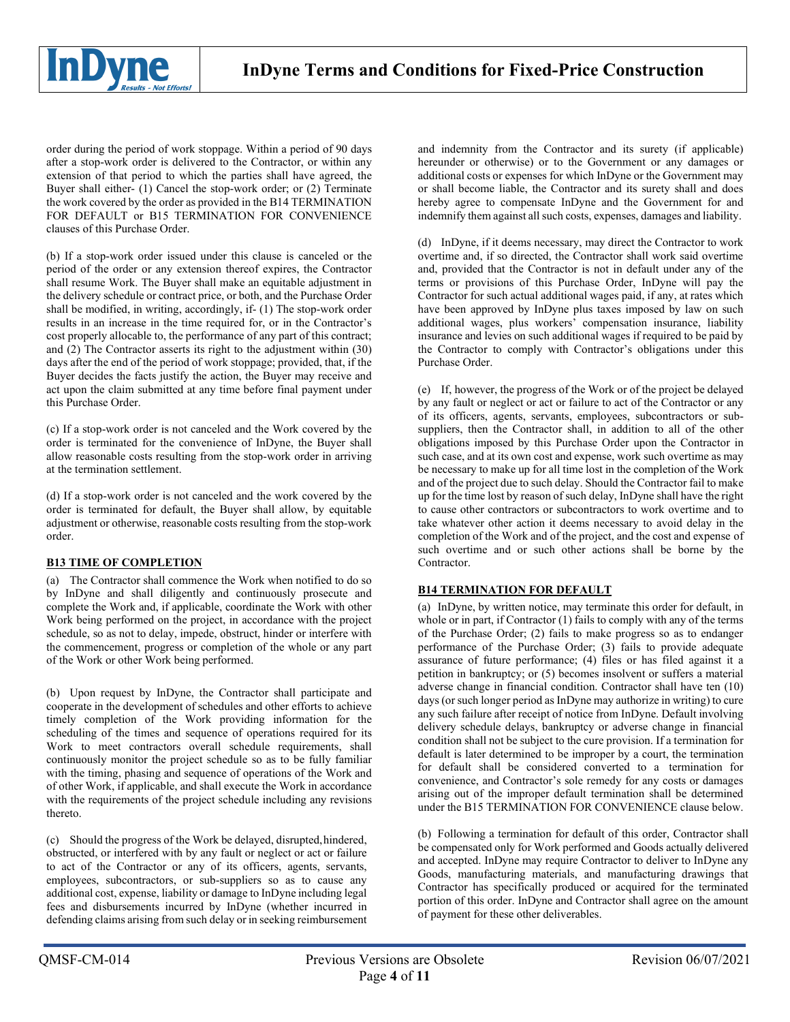

order during the period of work stoppage. Within a period of 90 days after a stop-work order is delivered to the Contractor, or within any extension of that period to which the parties shall have agreed, the Buyer shall either- (1) Cancel the stop-work order; or (2) Terminate the work covered by the order as provided in the B14 TERMINATION FOR DEFAULT or B15 TERMINATION FOR CONVENIENCE clauses of this Purchase Order.

(b) If a stop-work order issued under this clause is canceled or the period of the order or any extension thereof expires, the Contractor shall resume Work. The Buyer shall make an equitable adjustment in the delivery schedule or contract price, or both, and the Purchase Order shall be modified, in writing, accordingly, if- (1) The stop-work order results in an increase in the time required for, or in the Contractor's cost properly allocable to, the performance of any part of this contract; and (2) The Contractor asserts its right to the adjustment within (30) days after the end of the period of work stoppage; provided, that, if the Buyer decides the facts justify the action, the Buyer may receive and act upon the claim submitted at any time before final payment under this Purchase Order.

(c) If a stop-work order is not canceled and the Work covered by the order is terminated for the convenience of InDyne, the Buyer shall allow reasonable costs resulting from the stop-work order in arriving at the termination settlement.

(d) If a stop-work order is not canceled and the work covered by the order is terminated for default, the Buyer shall allow, by equitable adjustment or otherwise, reasonable costs resulting from the stop-work order.

# **B13 TIME OF COMPLETION**

(a) The Contractor shall commence the Work when notified to do so by InDyne and shall diligently and continuously prosecute and complete the Work and, if applicable, coordinate the Work with other Work being performed on the project, in accordance with the project schedule, so as not to delay, impede, obstruct, hinder or interfere with the commencement, progress or completion of the whole or any part of the Work or other Work being performed.

(b) Upon request by InDyne, the Contractor shall participate and cooperate in the development of schedules and other efforts to achieve timely completion of the Work providing information for the scheduling of the times and sequence of operations required for its Work to meet contractors overall schedule requirements, shall continuously monitor the project schedule so as to be fully familiar with the timing, phasing and sequence of operations of the Work and of other Work, if applicable, and shall execute the Work in accordance with the requirements of the project schedule including any revisions thereto.

(c) Should the progress of the Work be delayed, disrupted,hindered, obstructed, or interfered with by any fault or neglect or act or failure to act of the Contractor or any of its officers, agents, servants, employees, subcontractors, or sub-suppliers so as to cause any additional cost, expense, liability or damage to InDyne including legal fees and disbursements incurred by InDyne (whether incurred in defending claims arising from such delay or in seeking reimbursement and indemnity from the Contractor and its surety (if applicable) hereunder or otherwise) or to the Government or any damages or additional costs or expenses for which InDyne or the Government may or shall become liable, the Contractor and its surety shall and does hereby agree to compensate InDyne and the Government for and indemnify them against all such costs, expenses, damages and liability.

(d) InDyne, if it deems necessary, may direct the Contractor to work overtime and, if so directed, the Contractor shall work said overtime and, provided that the Contractor is not in default under any of the terms or provisions of this Purchase Order, InDyne will pay the Contractor for such actual additional wages paid, if any, at rates which have been approved by InDyne plus taxes imposed by law on such additional wages, plus workers' compensation insurance, liability insurance and levies on such additional wages if required to be paid by the Contractor to comply with Contractor's obligations under this Purchase Order.

(e) If, however, the progress of the Work or of the project be delayed by any fault or neglect or act or failure to act of the Contractor or any of its officers, agents, servants, employees, subcontractors or subsuppliers, then the Contractor shall, in addition to all of the other obligations imposed by this Purchase Order upon the Contractor in such case, and at its own cost and expense, work such overtime as may be necessary to make up for all time lost in the completion of the Work and of the project due to such delay. Should the Contractor fail to make up for the time lost by reason of such delay, InDyne shall have the right to cause other contractors or subcontractors to work overtime and to take whatever other action it deems necessary to avoid delay in the completion of the Work and of the project, and the cost and expense of such overtime and or such other actions shall be borne by the Contractor.

# **B14 TERMINATION FOR DEFAULT**

(a) InDyne, by written notice, may terminate this order for default, in whole or in part, if Contractor (1) fails to comply with any of the terms of the Purchase Order; (2) fails to make progress so as to endanger performance of the Purchase Order; (3) fails to provide adequate assurance of future performance; (4) files or has filed against it a petition in bankruptcy; or (5) becomes insolvent or suffers a material adverse change in financial condition. Contractor shall have ten (10) days (or such longer period as InDyne may authorize in writing) to cure any such failure after receipt of notice from InDyne. Default involving delivery schedule delays, bankruptcy or adverse change in financial condition shall not be subject to the cure provision. If a termination for default is later determined to be improper by a court, the termination for default shall be considered converted to a termination for convenience, and Contractor's sole remedy for any costs or damages arising out of the improper default termination shall be determined under the B15 TERMINATION FOR CONVENIENCE clause below.

(b) Following a termination for default of this order, Contractor shall be compensated only for Work performed and Goods actually delivered and accepted. InDyne may require Contractor to deliver to InDyne any Goods, manufacturing materials, and manufacturing drawings that Contractor has specifically produced or acquired for the terminated portion of this order. InDyne and Contractor shall agree on the amount of payment for these other deliverables.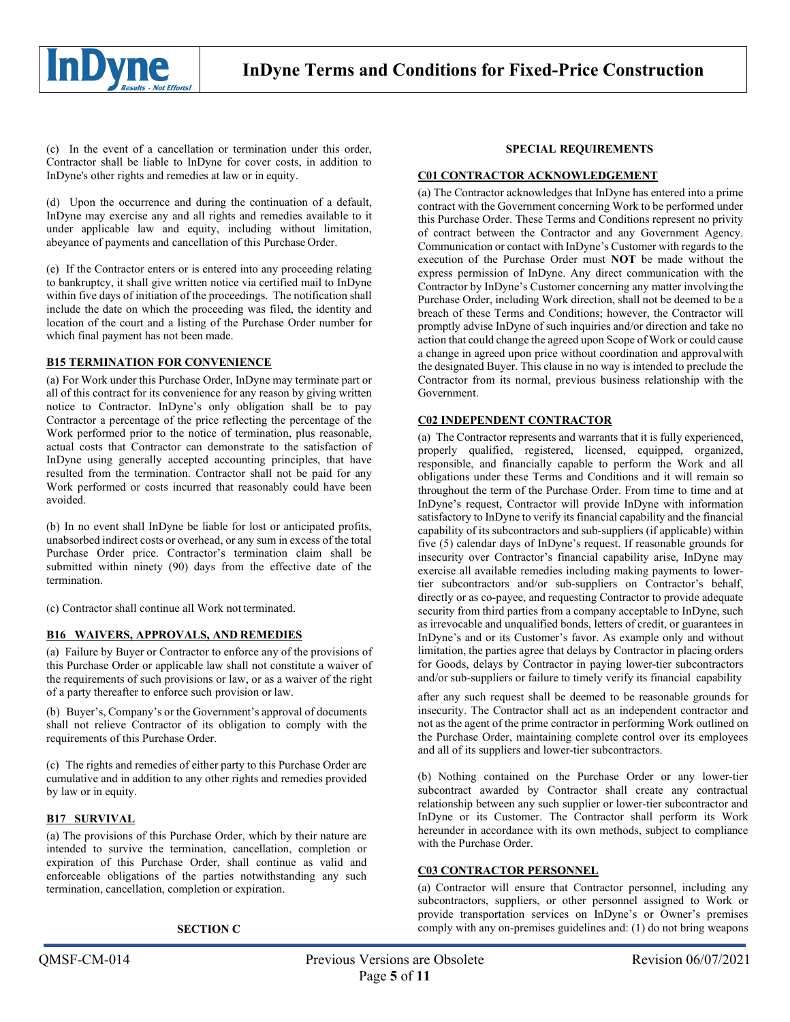

(c) In the event of a cancellation or termination under this order, Contractor shall be liable to InDyne for cover costs, in addition to InDyne's other rights and remedies at law or in equity.

(d) Upon the occurrence and during the continuation of a default, InDyne may exercise any and all rights and remedies available to it under applicable law and equity, including without limitation, abeyance of payments and cancellation of this Purchase Order.

(e) If the Contractor enters or is entered into any proceeding relating to bankruptcy, it shall give written notice via certified mail to InDyne within five days of initiation of the proceedings. The notification shall include the date on which the proceeding was filed, the identity and location of the court and a listing of the Purchase Order number for which final payment has not been made.

## **B15 TERMINATION FOR CONVENIENCE**

(a) For Work under this Purchase Order, InDyne may terminate part or all of this contract for its convenience for any reason by giving written notice to Contractor. InDyne's only obligation shall be to pay Contractor a percentage of the price reflecting the percentage of the Work performed prior to the notice of termination, plus reasonable, actual costs that Contractor can demonstrate to the satisfaction of InDyne using generally accepted accounting principles, that have resulted from the termination. Contractor shall not be paid for any Work performed or costs incurred that reasonably could have been avoided.

(b) In no event shall InDyne be liable for lost or anticipated profits, unabsorbed indirect costs or overhead, or any sum in excess of the total Purchase Order price. Contractor's termination claim shall be submitted within ninety (90) days from the effective date of the termination.

(c) Contractor shall continue all Work not terminated.

## **B16 WAIVERS, APPROVALS, AND REMEDIES**

(a) Failure by Buyer or Contractor to enforce any of the provisions of this Purchase Order or applicable law shall not constitute a waiver of the requirements of such provisions or law, or as a waiver of the right of a party thereafter to enforce such provision or law.

(b) Buyer's, Company's or the Government's approval of documents shall not relieve Contractor of its obligation to comply with the requirements of this Purchase Order.

(c) The rights and remedies of either party to this Purchase Order are cumulative and in addition to any other rights and remedies provided by law or in equity.

## **B17 SURVIVAL**

(a) The provisions of this Purchase Order, which by their nature are intended to survive the termination, cancellation, completion or expiration of this Purchase Order, shall continue as valid and enforceable obligations of the parties notwithstanding any such termination, cancellation, completion or expiration.

#### **SECTION C**

## **SPECIAL REQUIREMENTS**

## **C01 CONTRACTOR ACKNOWLEDGEMENT**

(a) The Contractor acknowledges that InDyne has entered into a prime contract with the Government concerning Work to be performed under this Purchase Order. These Terms and Conditions represent no privity of contract between the Contractor and any Government Agency. Communication or contact with InDyne's Customer with regards to the execution of the Purchase Order must **NOT** be made without the express permission of InDyne. Any direct communication with the Contractor by InDyne's Customer concerning any matter involvingthe Purchase Order, including Work direction, shall not be deemed to be a breach of these Terms and Conditions; however, the Contractor will promptly advise InDyne of such inquiries and/or direction and take no action that could change the agreed upon Scope of Work or could cause a change in agreed upon price without coordination and approvalwith the designated Buyer. This clause in no way is intended to preclude the Contractor from its normal, previous business relationship with the Government.

#### **C02 INDEPENDENT CONTRACTOR**

(a) The Contractor represents and warrants that it is fully experienced, properly qualified, registered, licensed, equipped, organized, responsible, and financially capable to perform the Work and all obligations under these Terms and Conditions and it will remain so throughout the term of the Purchase Order. From time to time and at InDyne's request, Contractor will provide InDyne with information satisfactory to InDyne to verify its financial capability and the financial capability of its subcontractors and sub-suppliers (if applicable) within five (5) calendar days of InDyne's request. If reasonable grounds for insecurity over Contractor's financial capability arise, InDyne may exercise all available remedies including making payments to lowertier subcontractors and/or sub-suppliers on Contractor's behalf, directly or as co-payee, and requesting Contractor to provide adequate security from third parties from a company acceptable to InDyne, such as irrevocable and unqualified bonds, letters of credit, or guarantees in InDyne's and or its Customer's favor. As example only and without limitation, the parties agree that delays by Contractor in placing orders for Goods, delays by Contractor in paying lower-tier subcontractors and/or sub-suppliers or failure to timely verify its financial capability

after any such request shall be deemed to be reasonable grounds for insecurity. The Contractor shall act as an independent contractor and not as the agent of the prime contractor in performing Work outlined on the Purchase Order, maintaining complete control over its employees and all of its suppliers and lower-tier subcontractors.

(b) Nothing contained on the Purchase Order or any lower-tier subcontract awarded by Contractor shall create any contractual relationship between any such supplier or lower-tier subcontractor and InDyne or its Customer. The Contractor shall perform its Work hereunder in accordance with its own methods, subject to compliance with the Purchase Order.

# **C03 CONTRACTOR PERSONNEL**

(a) Contractor will ensure that Contractor personnel, including any subcontractors, suppliers, or other personnel assigned to Work or provide transportation services on InDyne's or Owner's premises comply with any on-premises guidelines and: (1) do not bring weapons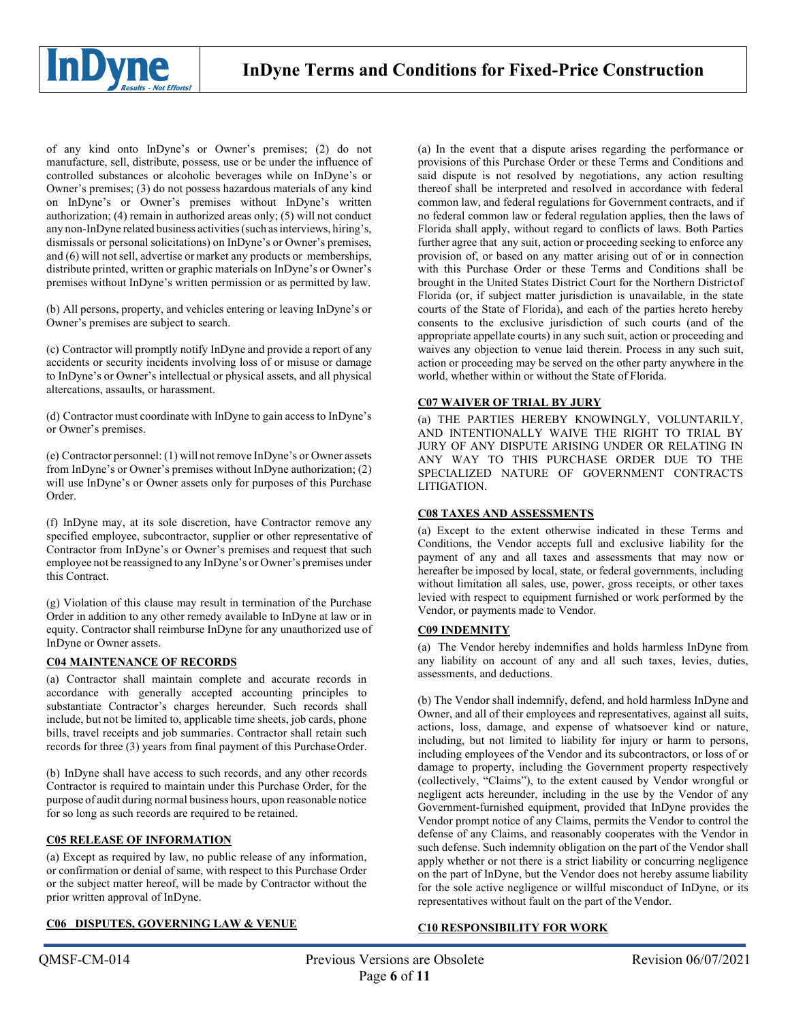

of any kind onto InDyne's or Owner's premises; (2) do not manufacture, sell, distribute, possess, use or be under the influence of controlled substances or alcoholic beverages while on InDyne's or Owner's premises; (3) do not possess hazardous materials of any kind on InDyne's or Owner's premises without InDyne's written authorization; (4) remain in authorized areas only; (5) will not conduct any non-InDyne related business activities(such asinterviews, hiring's, dismissals or personal solicitations) on InDyne's or Owner's premises, and (6) will not sell, advertise or market any products or memberships, distribute printed, written or graphic materials on InDyne's or Owner's premises without InDyne's written permission or as permitted by law.

(b) All persons, property, and vehicles entering or leaving InDyne's or Owner's premises are subject to search.

(c) Contractor will promptly notify InDyne and provide a report of any accidents or security incidents involving loss of or misuse or damage to InDyne's or Owner's intellectual or physical assets, and all physical altercations, assaults, or harassment.

(d) Contractor must coordinate with InDyne to gain access to InDyne's or Owner's premises.

(e) Contractor personnel: (1) will not remove InDyne's or Owner assets from InDyne's or Owner's premises without InDyne authorization; (2) will use InDyne's or Owner assets only for purposes of this Purchase Order.

(f) InDyne may, at its sole discretion, have Contractor remove any specified employee, subcontractor, supplier or other representative of Contractor from InDyne's or Owner's premises and request that such employee not be reassigned to any InDyne's or Owner's premises under this Contract.

(g) Violation of this clause may result in termination of the Purchase Order in addition to any other remedy available to InDyne at law or in equity. Contractor shall reimburse InDyne for any unauthorized use of InDyne or Owner assets.

## **C04 MAINTENANCE OF RECORDS**

(a) Contractor shall maintain complete and accurate records in accordance with generally accepted accounting principles to substantiate Contractor's charges hereunder. Such records shall include, but not be limited to, applicable time sheets, job cards, phone bills, travel receipts and job summaries. Contractor shall retain such records for three (3) years from final payment of this PurchaseOrder.

(b) InDyne shall have access to such records, and any other records Contractor is required to maintain under this Purchase Order, for the purpose of audit during normal business hours, upon reasonable notice for so long as such records are required to be retained.

## **C05 RELEASE OF INFORMATION**

(a) Except as required by law, no public release of any information, or confirmation or denial of same, with respect to this Purchase Order or the subject matter hereof, will be made by Contractor without the prior written approval of InDyne.

### **C06 DISPUTES, GOVERNING LAW & VENUE**

(a) In the event that a dispute arises regarding the performance or provisions of this Purchase Order or these Terms and Conditions and said dispute is not resolved by negotiations, any action resulting thereof shall be interpreted and resolved in accordance with federal common law, and federal regulations for Government contracts, and if no federal common law or federal regulation applies, then the laws of Florida shall apply, without regard to conflicts of laws. Both Parties further agree that any suit, action or proceeding seeking to enforce any provision of, or based on any matter arising out of or in connection with this Purchase Order or these Terms and Conditions shall be brought in the United States District Court for the Northern Districtof Florida (or, if subject matter jurisdiction is unavailable, in the state courts of the State of Florida), and each of the parties hereto hereby consents to the exclusive jurisdiction of such courts (and of the appropriate appellate courts) in any such suit, action or proceeding and waives any objection to venue laid therein. Process in any such suit, action or proceeding may be served on the other party anywhere in the world, whether within or without the State of Florida.

## **C07 WAIVER OF TRIAL BY JURY**

(a) THE PARTIES HEREBY KNOWINGLY, VOLUNTARILY, AND INTENTIONALLY WAIVE THE RIGHT TO TRIAL BY JURY OF ANY DISPUTE ARISING UNDER OR RELATING IN ANY WAY TO THIS PURCHASE ORDER DUE TO THE SPECIALIZED NATURE OF GOVERNMENT CONTRACTS LITIGATION.

## **C08 TAXES AND ASSESSMENTS**

(a) Except to the extent otherwise indicated in these Terms and Conditions, the Vendor accepts full and exclusive liability for the payment of any and all taxes and assessments that may now or hereafter be imposed by local, state, or federal governments, including without limitation all sales, use, power, gross receipts, or other taxes levied with respect to equipment furnished or work performed by the Vendor, or payments made to Vendor.

## **C09 INDEMNITY**

(a) The Vendor hereby indemnifies and holds harmless InDyne from any liability on account of any and all such taxes, levies, duties, assessments, and deductions.

(b) The Vendor shall indemnify, defend, and hold harmless InDyne and Owner, and all of their employees and representatives, against all suits, actions, loss, damage, and expense of whatsoever kind or nature, including, but not limited to liability for injury or harm to persons, including employees of the Vendor and its subcontractors, or loss of or damage to property, including the Government property respectively (collectively, "Claims"), to the extent caused by Vendor wrongful or negligent acts hereunder, including in the use by the Vendor of any Government-furnished equipment, provided that InDyne provides the Vendor prompt notice of any Claims, permits the Vendor to control the defense of any Claims, and reasonably cooperates with the Vendor in such defense. Such indemnity obligation on the part of the Vendor shall apply whether or not there is a strict liability or concurring negligence on the part of InDyne, but the Vendor does not hereby assume liability for the sole active negligence or willful misconduct of InDyne, or its representatives without fault on the part of the Vendor.

## **C10 RESPONSIBILITY FOR WORK**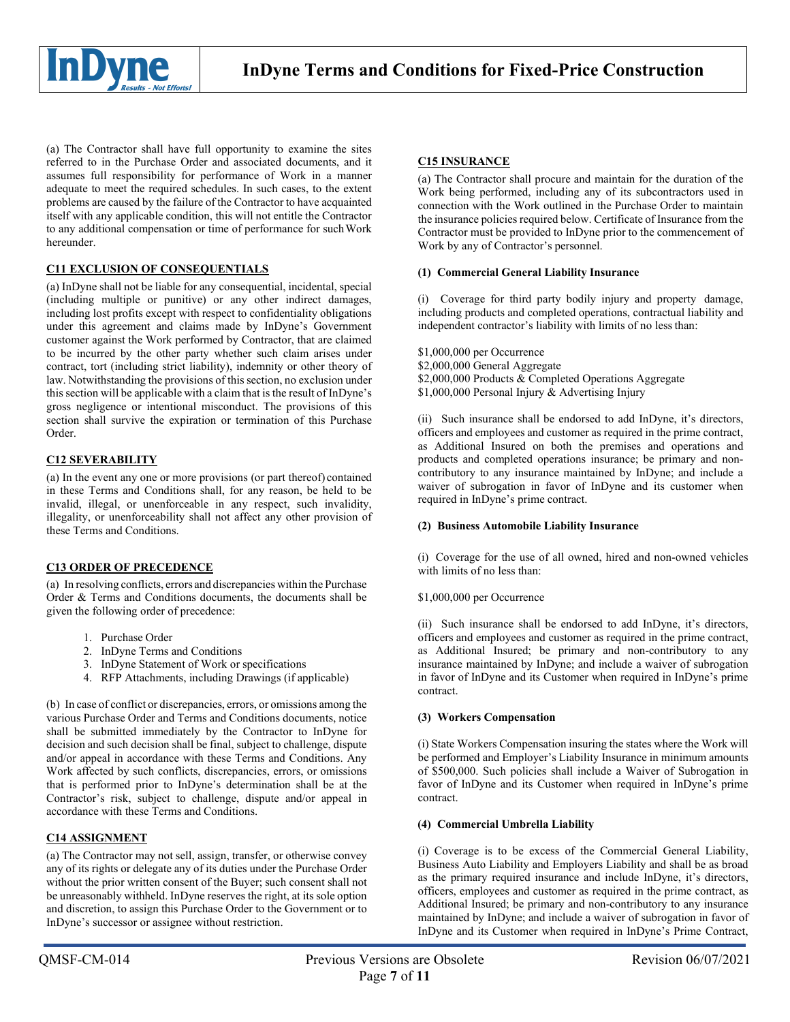

(a) The Contractor shall have full opportunity to examine the sites referred to in the Purchase Order and associated documents, and it assumes full responsibility for performance of Work in a manner adequate to meet the required schedules. In such cases, to the extent problems are caused by the failure of the Contractor to have acquainted itself with any applicable condition, this will not entitle the Contractor to any additional compensation or time of performance for suchWork hereunder.

## **C11 EXCLUSION OF CONSEQUENTIALS**

(a) InDyne shall not be liable for any consequential, incidental, special (including multiple or punitive) or any other indirect damages, including lost profits except with respect to confidentiality obligations under this agreement and claims made by InDyne's Government customer against the Work performed by Contractor, that are claimed to be incurred by the other party whether such claim arises under contract, tort (including strict liability), indemnity or other theory of law. Notwithstanding the provisions of this section, no exclusion under this section will be applicable with a claim that is the result of InDyne's gross negligence or intentional misconduct. The provisions of this section shall survive the expiration or termination of this Purchase Order.

## **C12 SEVERABILITY**

(a) In the event any one or more provisions (or part thereof) contained in these Terms and Conditions shall, for any reason, be held to be invalid, illegal, or unenforceable in any respect, such invalidity, illegality, or unenforceability shall not affect any other provision of these Terms and Conditions.

## **C13 ORDER OF PRECEDENCE**

(a) In resolving conflicts, errors and discrepancies within the Purchase Order & Terms and Conditions documents, the documents shall be given the following order of precedence:

- 1. Purchase Order
- 2. InDyne Terms and Conditions
- 3. InDyne Statement of Work or specifications
- 4. RFP Attachments, including Drawings (if applicable)

(b) In case of conflict or discrepancies, errors, or omissions among the various Purchase Order and Terms and Conditions documents, notice shall be submitted immediately by the Contractor to InDyne for decision and such decision shall be final, subject to challenge, dispute and/or appeal in accordance with these Terms and Conditions. Any Work affected by such conflicts, discrepancies, errors, or omissions that is performed prior to InDyne's determination shall be at the Contractor's risk, subject to challenge, dispute and/or appeal in accordance with these Terms and Conditions.

## **C14 ASSIGNMENT**

(a) The Contractor may not sell, assign, transfer, or otherwise convey any of its rights or delegate any of its duties under the Purchase Order without the prior written consent of the Buyer; such consent shall not be unreasonably withheld. InDyne reserves the right, at its sole option and discretion, to assign this Purchase Order to the Government or to InDyne's successor or assignee without restriction.

### **C15 INSURANCE**

(a) The Contractor shall procure and maintain for the duration of the Work being performed, including any of its subcontractors used in connection with the Work outlined in the Purchase Order to maintain the insurance policies required below. Certificate of Insurance from the Contractor must be provided to InDyne prior to the commencement of Work by any of Contractor's personnel.

#### **(1) Commercial General Liability Insurance**

(i) Coverage for third party bodily injury and property damage, including products and completed operations, contractual liability and independent contractor's liability with limits of no less than:

- \$1,000,000 per Occurrence
- \$2,000,000 General Aggregate
- \$2,000,000 Products & Completed Operations Aggregate
- \$1,000,000 Personal Injury & Advertising Injury

(ii) Such insurance shall be endorsed to add InDyne, it's directors, officers and employees and customer as required in the prime contract, as Additional Insured on both the premises and operations and products and completed operations insurance; be primary and noncontributory to any insurance maintained by InDyne; and include a waiver of subrogation in favor of InDyne and its customer when required in InDyne's prime contract.

## **(2) Business Automobile Liability Insurance**

(i) Coverage for the use of all owned, hired and non-owned vehicles with limits of no less than:

## \$1,000,000 per Occurrence

(ii) Such insurance shall be endorsed to add InDyne, it's directors, officers and employees and customer as required in the prime contract, as Additional Insured; be primary and non-contributory to any insurance maintained by InDyne; and include a waiver of subrogation in favor of InDyne and its Customer when required in InDyne's prime contract.

## **(3) Workers Compensation**

(i) State Workers Compensation insuring the states where the Work will be performed and Employer's Liability Insurance in minimum amounts of \$500,000. Such policies shall include a Waiver of Subrogation in favor of InDyne and its Customer when required in InDyne's prime contract.

#### **(4) Commercial Umbrella Liability**

(i) Coverage is to be excess of the Commercial General Liability, Business Auto Liability and Employers Liability and shall be as broad as the primary required insurance and include InDyne, it's directors, officers, employees and customer as required in the prime contract, as Additional Insured; be primary and non-contributory to any insurance maintained by InDyne; and include a waiver of subrogation in favor of InDyne and its Customer when required in InDyne's Prime Contract,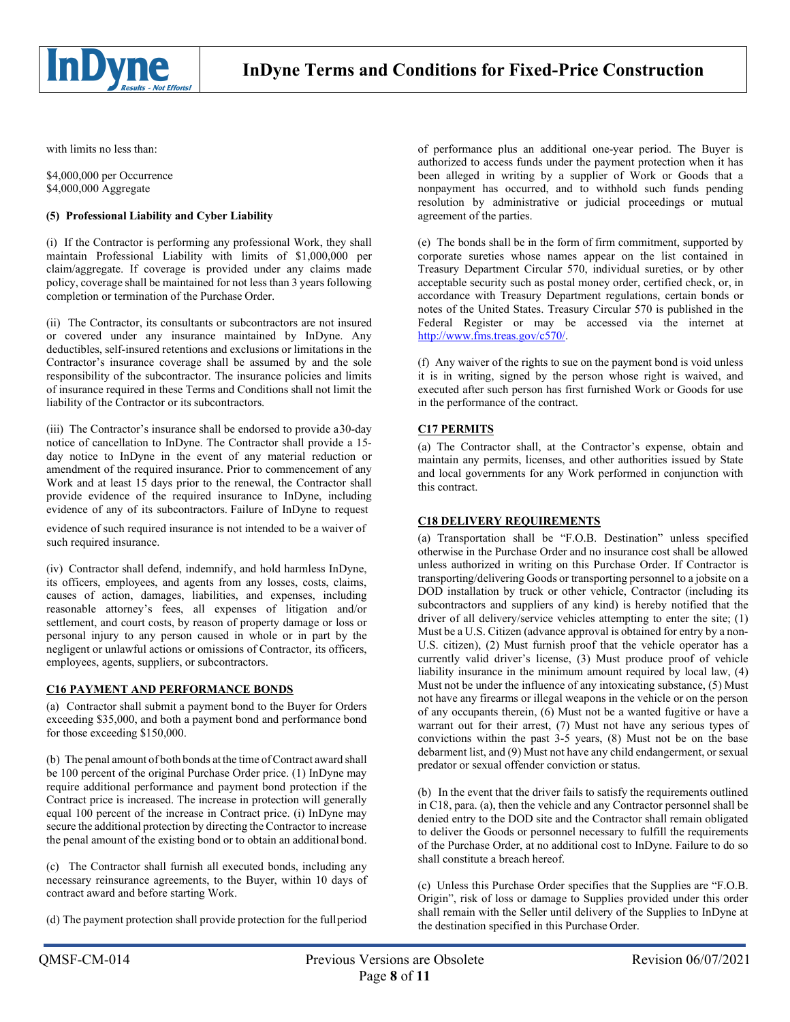

with limits no less than:

\$4,000,000 per Occurrence \$4,000,000 Aggregate

## **(5) Professional Liability and Cyber Liability**

(i) If the Contractor is performing any professional Work, they shall maintain Professional Liability with limits of \$1,000,000 per claim/aggregate. If coverage is provided under any claims made policy, coverage shall be maintained for not less than 3 years following completion or termination of the Purchase Order.

(ii) The Contractor, its consultants or subcontractors are not insured or covered under any insurance maintained by InDyne. Any deductibles, self-insured retentions and exclusions or limitations in the Contractor's insurance coverage shall be assumed by and the sole responsibility of the subcontractor. The insurance policies and limits of insurance required in these Terms and Conditions shall not limit the liability of the Contractor or its subcontractors.

(iii) The Contractor's insurance shall be endorsed to provide a30-day notice of cancellation to InDyne. The Contractor shall provide a 15 day notice to InDyne in the event of any material reduction or amendment of the required insurance. Prior to commencement of any Work and at least 15 days prior to the renewal, the Contractor shall provide evidence of the required insurance to InDyne, including evidence of any of its subcontractors. Failure of InDyne to request

evidence of such required insurance is not intended to be a waiver of such required insurance.

(iv) Contractor shall defend, indemnify, and hold harmless InDyne, its officers, employees, and agents from any losses, costs, claims, causes of action, damages, liabilities, and expenses, including reasonable attorney's fees, all expenses of litigation and/or settlement, and court costs, by reason of property damage or loss or personal injury to any person caused in whole or in part by the negligent or unlawful actions or omissions of Contractor, its officers, employees, agents, suppliers, or subcontractors.

## **C16 PAYMENT AND PERFORMANCE BONDS**

(a) Contractor shall submit a payment bond to the Buyer for Orders exceeding \$35,000, and both a payment bond and performance bond for those exceeding \$150,000.

(b) The penal amount of both bonds at the time of Contract award shall be 100 percent of the original Purchase Order price. (1) InDyne may require additional performance and payment bond protection if the Contract price is increased. The increase in protection will generally equal 100 percent of the increase in Contract price. (i) InDyne may secure the additional protection by directing the Contractor to increase the penal amount of the existing bond or to obtain an additional bond.

(c) The Contractor shall furnish all executed bonds, including any necessary reinsurance agreements, to the Buyer, within 10 days of contract award and before starting Work.

(d) The payment protection shall provide protection for the fullperiod

of performance plus an additional one-year period. The Buyer is authorized to access funds under the payment protection when it has been alleged in writing by a supplier of Work or Goods that a nonpayment has occurred, and to withhold such funds pending resolution by administrative or judicial proceedings or mutual agreement of the parties.

(e) The bonds shall be in the form of firm commitment, supported by corporate sureties whose names appear on the list contained in Treasury Department Circular 570, individual sureties, or by other acceptable security such as postal money order, certified check, or, in accordance with Treasury Department regulations, certain bonds or notes of the United States. Treasury Circular 570 is published in the Federal Register or may be accessed via the internet at [http://www.fms.treas.gov/c570/.](http://www.fms.treas.gov/c570/)

(f) Any waiver of the rights to sue on the payment bond is void unless it is in writing, signed by the person whose right is waived, and executed after such person has first furnished Work or Goods for use in the performance of the contract.

# **C17 PERMITS**

(a) The Contractor shall, at the Contractor's expense, obtain and maintain any permits, licenses, and other authorities issued by State and local governments for any Work performed in conjunction with this contract.

# **C18 DELIVERY REQUIREMENTS**

(a) Transportation shall be "F.O.B. Destination" unless specified otherwise in the Purchase Order and no insurance cost shall be allowed unless authorized in writing on this Purchase Order. If Contractor is transporting/delivering Goods or transporting personnel to a jobsite on a DOD installation by truck or other vehicle, Contractor (including its subcontractors and suppliers of any kind) is hereby notified that the driver of all delivery/service vehicles attempting to enter the site; (1) Must be a U.S. Citizen (advance approval is obtained for entry by a non-U.S. citizen), (2) Must furnish proof that the vehicle operator has a currently valid driver's license, (3) Must produce proof of vehicle liability insurance in the minimum amount required by local law, (4) Must not be under the influence of any intoxicating substance, (5) Must not have any firearms or illegal weapons in the vehicle or on the person of any occupants therein, (6) Must not be a wanted fugitive or have a warrant out for their arrest, (7) Must not have any serious types of convictions within the past 3-5 years, (8) Must not be on the base debarment list, and (9) Must not have any child endangerment, or sexual predator or sexual offender conviction or status.

(b) In the event that the driver fails to satisfy the requirements outlined in C18, para. (a), then the vehicle and any Contractor personnel shall be denied entry to the DOD site and the Contractor shall remain obligated to deliver the Goods or personnel necessary to fulfill the requirements of the Purchase Order, at no additional cost to InDyne. Failure to do so shall constitute a breach hereof.

(c) Unless this Purchase Order specifies that the Supplies are "F.O.B. Origin", risk of loss or damage to Supplies provided under this order shall remain with the Seller until delivery of the Supplies to InDyne at the destination specified in this Purchase Order.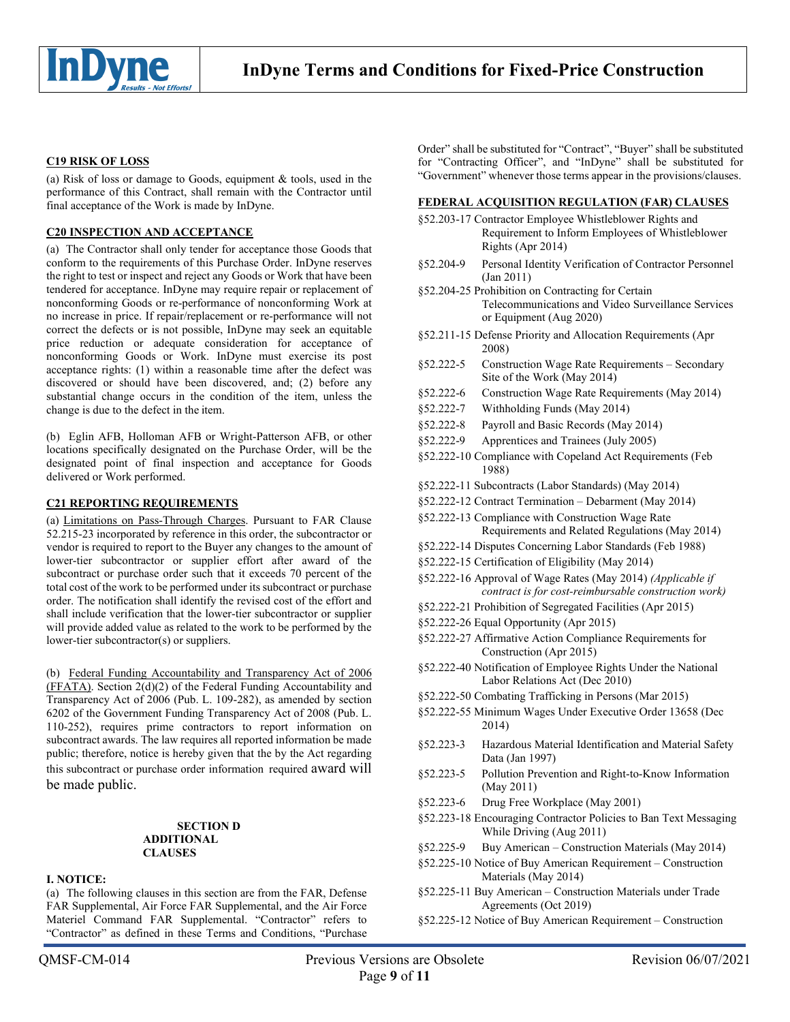

## **C19 RISK OF LOSS**

(a) Risk of loss or damage to Goods, equipment & tools, used in the performance of this Contract, shall remain with the Contractor until final acceptance of the Work is made by InDyne.

# **C20 INSPECTION AND ACCEPTANCE**

(a) The Contractor shall only tender for acceptance those Goods that conform to the requirements of this Purchase Order. InDyne reserves the right to test or inspect and reject any Goods or Work that have been tendered for acceptance. InDyne may require repair or replacement of nonconforming Goods or re-performance of nonconforming Work at no increase in price. If repair/replacement or re-performance will not correct the defects or is not possible, InDyne may seek an equitable price reduction or adequate consideration for acceptance of nonconforming Goods or Work. InDyne must exercise its post acceptance rights: (1) within a reasonable time after the defect was discovered or should have been discovered, and; (2) before any substantial change occurs in the condition of the item, unless the change is due to the defect in the item.

(b) Eglin AFB, Holloman AFB or Wright-Patterson AFB, or other locations specifically designated on the Purchase Order, will be the designated point of final inspection and acceptance for Goods delivered or Work performed.

#### **C21 REPORTING REQUIREMENTS**

(a) Limitations on Pass-Through Charges. Pursuant to FAR Clause 52.215-23 incorporated by reference in this order, the subcontractor or vendor is required to report to the Buyer any changes to the amount of lower-tier subcontractor or supplier effort after award of the subcontract or purchase order such that it exceeds 70 percent of the total cost of the work to be performed under its subcontract or purchase order. The notification shall identify the revised cost of the effort and shall include verification that the lower-tier subcontractor or supplier will provide added value as related to the work to be performed by the lower-tier subcontractor(s) or suppliers.

(b) Federal Funding Accountability and Transparency Act of 2006 (FFATA). Section 2(d)(2) of the Federal Funding Accountability and Transparency Act of 2006 (Pub. L. 109-282), as amended by section 6202 of the Government Funding Transparency Act of 2008 (Pub. L. 110-252), requires prime contractors to report information on subcontract awards. The law requires all reported information be made public; therefore, notice is hereby given that the by the Act regarding this subcontract or purchase order information required award will be made public.

#### **SECTION D ADDITIONAL CLAUSES**

#### **I. NOTICE:**

(a) The following clauses in this section are from the FAR, Defense FAR Supplemental, Air Force FAR Supplemental, and the Air Force Materiel Command FAR Supplemental. "Contractor" refers to "Contractor" as defined in these Terms and Conditions, "Purchase

#### **FEDERAL ACQUISITION REGULATION (FAR) CLAUSES**

- §52.203-17 Contractor Employee Whistleblower Rights and Requirement to Inform Employees of Whistleblower Rights (Apr 2014)
- §52.204-9 Personal Identity Verification of Contractor Personnel (Jan 2011)

§52.204-25 Prohibition on Contracting for Certain Telecommunications and Video Surveillance Services or Equipment (Aug 2020)

- §52.211-15 Defense Priority and Allocation Requirements (Apr 2008)
- §52.222-5 Construction Wage Rate Requirements Secondary Site of the Work (May 2014)
- §52.222-6 Construction Wage Rate Requirements (May 2014)
- §52.222-7 Withholding Funds (May 2014)
- §52.222-8 Payroll and Basic Records (May 2014)
- §52.222-9 Apprentices and Trainees (July 2005)
- §52.222-10 Compliance with Copeland Act Requirements (Feb 1988)
- §52.222-11 Subcontracts (Labor Standards) (May 2014)
- §52.222-12 Contract Termination Debarment (May 2014)
- §52.222-13 Compliance with Construction Wage Rate Requirements and Related Regulations (May 2014)
- §52.222-14 Disputes Concerning Labor Standards (Feb 1988)
- §52.222-15 Certification of Eligibility (May 2014)
- §52.222-16 Approval of Wage Rates (May 2014) *(Applicable if contract is for cost-reimbursable construction work)*
- §52.222-21 Prohibition of Segregated Facilities (Apr 2015)
- §52.222-26 Equal Opportunity (Apr 2015)
- §52.222-27 Affirmative Action Compliance Requirements for Construction (Apr 2015)
- §52.222-40 Notification of Employee Rights Under the National Labor Relations Act (Dec 2010)
- §52.222-50 Combating Trafficking in Persons (Mar 2015)
- §52.222-55 Minimum Wages Under Executive Order 13658 (Dec 2014)
- §52.223-3 Hazardous Material Identification and Material Safety Data (Jan 1997)
- §52.223-5 Pollution Prevention and Right-to-Know Information (May 2011)
- §52.223-6 Drug Free Workplace (May 2001)
- §52.223-18 Encouraging Contractor Policies to Ban Text Messaging While Driving (Aug 2011)
- §52.225-9 Buy American Construction Materials (May 2014)
- §52.225-10 Notice of Buy American Requirement Construction Materials (May 2014)
- §52.225-11 Buy American Construction Materials under Trade Agreements (Oct 2019)
- §52.225-12 Notice of Buy American Requirement Construction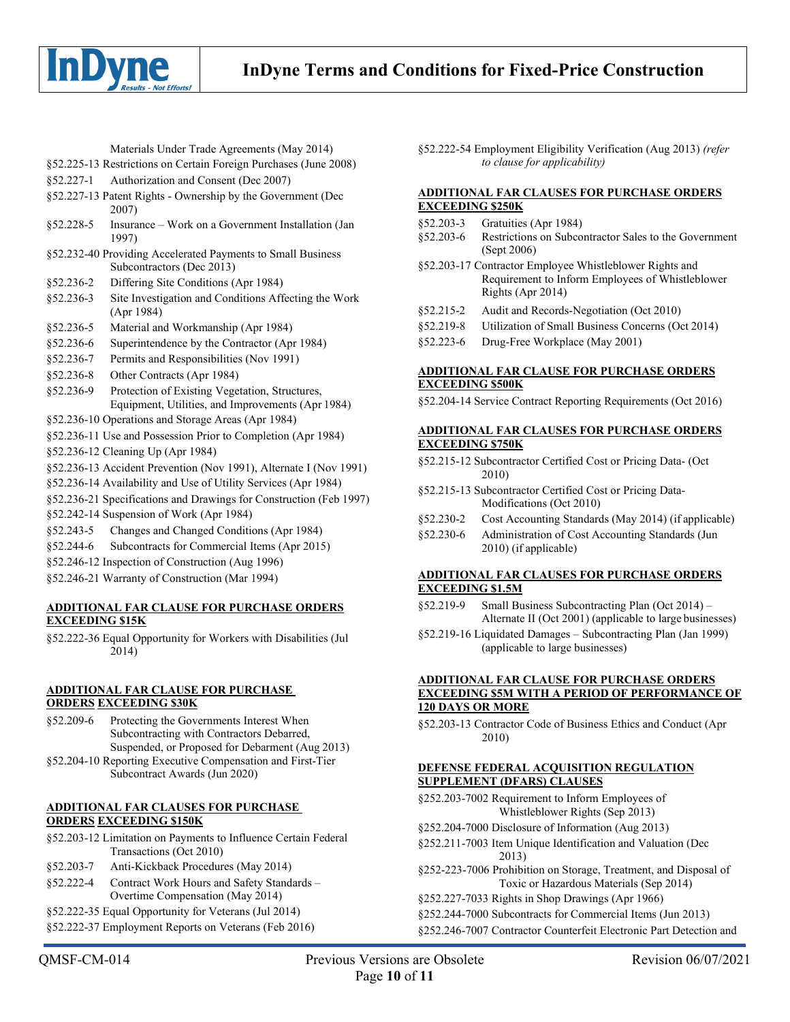

Materials Under Trade Agreements (May 2014)

- §52.225-13 Restrictions on Certain Foreign Purchases (June 2008)
- §52.227-1 Authorization and Consent (Dec 2007)
- §52.227-13 Patent Rights Ownership by the Government (Dec 2007)
- §52.228-5 Insurance Work on a Government Installation (Jan 1997)
- §52.232-40 Providing Accelerated Payments to Small Business Subcontractors (Dec 2013)
- §52.236-2 Differing Site Conditions (Apr 1984)
- §52.236-3 Site Investigation and Conditions Affecting the Work (Apr 1984)
- §52.236-5 Material and Workmanship (Apr 1984)
- §52.236-6 Superintendence by the Contractor (Apr 1984)
- §52.236-7 Permits and Responsibilities (Nov 1991)
- §52.236-8 Other Contracts (Apr 1984)
- §52.236-9 Protection of Existing Vegetation, Structures, Equipment, Utilities, and Improvements (Apr 1984)
- §52.236-10 Operations and Storage Areas (Apr 1984)
- §52.236-11 Use and Possession Prior to Completion (Apr 1984)
- §52.236-12 Cleaning Up (Apr 1984)
- §52.236-13 Accident Prevention (Nov 1991), Alternate I (Nov 1991)
- §52.236-14 Availability and Use of Utility Services (Apr 1984)
- §52.236-21 Specifications and Drawings for Construction (Feb 1997)
- §52.242-14 Suspension of Work (Apr 1984)
- §52.243-5 Changes and Changed Conditions (Apr 1984)
- §52.244-6 Subcontracts for Commercial Items (Apr 2015)
- §52.246-12 Inspection of Construction (Aug 1996)
- §52.246-21 Warranty of Construction (Mar 1994)

## **ADDITIONAL FAR CLAUSE FOR PURCHASE ORDERS EXCEEDING \$15K**

§52.222-36 Equal Opportunity for Workers with Disabilities (Jul 2014)

## **ADDITIONAL FAR CLAUSE FOR PURCHASE ORDERS EXCEEDING \$30K**

- §52.209-6 Protecting the Governments Interest When Subcontracting with Contractors Debarred, Suspended, or Proposed for Debarment (Aug 2013)
- §52.204-10 Reporting Executive Compensation and First-Tier
	- Subcontract Awards (Jun 2020)

# **ADDITIONAL FAR CLAUSES FOR PURCHASE ORDERS EXCEEDING \$150K**

- §52.203-12 Limitation on Payments to Influence Certain Federal Transactions (Oct 2010)
- §52.203-7 Anti-Kickback Procedures (May 2014)
- §52.222-4 Contract Work Hours and Safety Standards Overtime Compensation (May 2014)
- §52.222-35 Equal Opportunity for Veterans (Jul 2014)
- §52.222-37 Employment Reports on Veterans (Feb 2016)

QMSF-CM-014 Previous Versions are Obsolete Revision 06/07/2021 Page **10** of **11**

§52.222-54 Employment Eligibility Verification (Aug 2013) *(refer to clause for applicability)*

# **ADDITIONAL FAR CLAUSES FOR PURCHASE ORDERS EXCEEDING \$250K**

- §52.203-3 Gratuities (Apr 1984)
- §52.203-6 Restrictions on Subcontractor Sales to the Government (Sept 2006)
- §52.203-17 Contractor Employee Whistleblower Rights and Requirement to Inform Employees of Whistleblower Rights (Apr 2014)
- §52.215-2 Audit and Records-Negotiation (Oct 2010)
- §52.219-8 Utilization of Small Business Concerns (Oct 2014)
- §52.223-6 Drug-Free Workplace (May 2001)

## **ADDITIONAL FAR CLAUSE FOR PURCHASE ORDERS EXCEEDING \$500K**

§52.204-14 Service Contract Reporting Requirements (Oct 2016)

# **ADDITIONAL FAR CLAUSES FOR PURCHASE ORDERS EXCEEDING \$750K**

- §52.215-12 Subcontractor Certified Cost or Pricing Data- (Oct 2010)
- §52.215-13 Subcontractor Certified Cost or Pricing Data-Modifications (Oct 2010)
- §52.230-2 Cost Accounting Standards (May 2014) (if applicable)
- §52.230-6 Administration of Cost Accounting Standards (Jun 2010) (if applicable)

## **ADDITIONAL FAR CLAUSES FOR PURCHASE ORDERS EXCEEDING \$1.5M**

- §52.219-9 Small Business Subcontracting Plan (Oct 2014) Alternate II (Oct 2001) (applicable to large businesses)
- §52.219-16 Liquidated Damages Subcontracting Plan (Jan 1999) (applicable to large businesses)

## **ADDITIONAL FAR CLAUSE FOR PURCHASE ORDERS EXCEEDING \$5M WITH A PERIOD OF PERFORMANCE OF 120 DAYS OR MORE**

§52.203-13 Contractor Code of Business Ethics and Conduct (Apr 2010)

## **DEFENSE FEDERAL ACQUISITION REGULATION SUPPLEMENT (DFARS) CLAUSES**

- §252.203-7002 Requirement to Inform Employees of Whistleblower Rights (Sep 2013)
- §252.204-7000 Disclosure of Information (Aug 2013)
- §252.211-7003 Item Unique Identification and Valuation (Dec 2013)
- §252-223-7006 Prohibition on Storage, Treatment, and Disposal of Toxic or Hazardous Materials (Sep 2014)
- §252.227-7033 Rights in Shop Drawings (Apr 1966)
- §252.244-7000 Subcontracts for Commercial Items (Jun 2013)
- §252.246-7007 Contractor Counterfeit Electronic Part Detection and